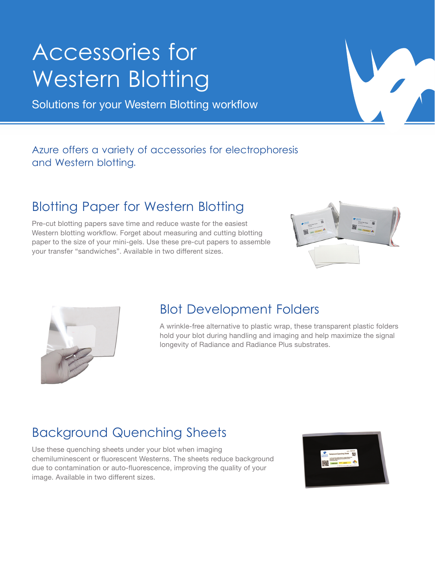# Accessories for Western Blotting

Solutions for your Western Blotting workflow

#### Azure offers a variety of accessories for electrophoresis and Western blotting.

### Blotting Paper for Western Blotting

Pre-cut blotting papers save time and reduce waste for the easiest Western blotting workflow. Forget about measuring and cutting blotting paper to the size of your mini-gels. Use these pre-cut papers to assemble your transfer "sandwiches". Available in two different sizes.





#### Blot Development Folders

A wrinkle-free alternative to plastic wrap, these transparent plastic folders hold your blot during handling and imaging and help maximize the signal longevity of Radiance and Radiance Plus substrates.

## Background Quenching Sheets

Use these quenching sheets under your blot when imaging chemiluminescent or fluorescent Westerns. The sheets reduce background due to contamination or auto-fluorescence, improving the quality of your image. Available in two different sizes.